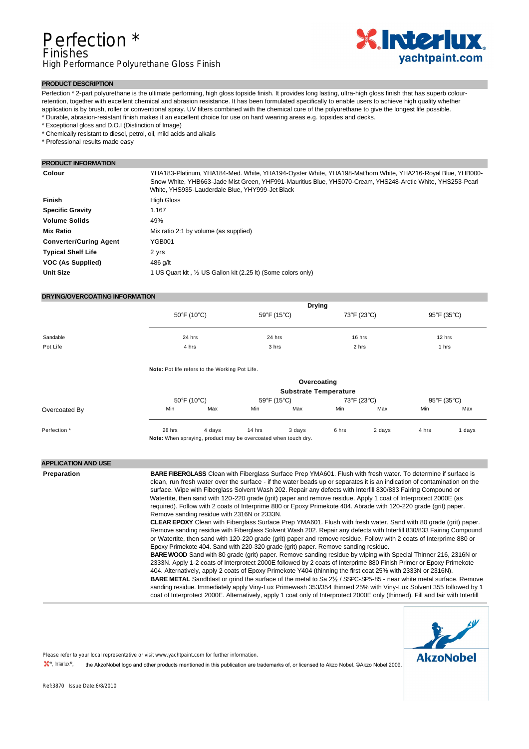

# **PRODUCT DESCRIPTION**

Perfection \* 2-part polyurethane is the ultimate performing, high gloss topside finish. It provides long lasting, ultra-high gloss finish that has superb colourretention, together with excellent chemical and abrasion resistance. It has been formulated specifically to enable users to achieve high quality whether application is by brush, roller or conventional spray. UV filters combined with the chemical cure of the polyurethane to give the longest life possible. \* Durable, abrasion-resistant finish makes it an excellent choice for use on hard wearing areas e.g. topsides and decks.

\* Exceptional gloss and D.O.I (Distinction of Image)

\* Chemically resistant to diesel, petrol, oil, mild acids and alkalis

\* Professional results made easy

# **PRODUCT INFORMATION**

| Colour                        | YHA183-Platinum, YHA184-Med. White, YHA194-Oyster White, YHA198-Mat'horn White, YHA216-Royal Blue, YHB000-<br>Snow White, YHB663-Jade Mist Green, YHF991-Mauritius Blue, YHS070-Cream, YHS248-Arctic White, YHS253-Pearl<br>White, YHS935-Lauderdale Blue, YHY999-Jet Black |
|-------------------------------|-----------------------------------------------------------------------------------------------------------------------------------------------------------------------------------------------------------------------------------------------------------------------------|
| <b>Finish</b>                 | <b>High Gloss</b>                                                                                                                                                                                                                                                           |
| <b>Specific Gravity</b>       | 1.167                                                                                                                                                                                                                                                                       |
| <b>Volume Solids</b>          | 49%                                                                                                                                                                                                                                                                         |
| <b>Mix Ratio</b>              | Mix ratio 2:1 by volume (as supplied)                                                                                                                                                                                                                                       |
| <b>Converter/Curing Agent</b> | YGB001                                                                                                                                                                                                                                                                      |
| <b>Typical Shelf Life</b>     | 2 yrs                                                                                                                                                                                                                                                                       |
| VOC (As Supplied)             | 486 g/lt                                                                                                                                                                                                                                                                    |
| <b>Unit Size</b>              | 1 US Quart kit, 1/2 US Gallon kit (2.25 lt) (Some colors only)                                                                                                                                                                                                              |

# **DRYING/OVERCOATING INFORMATION**

|          | <b>Drying</b> |             |             |             |
|----------|---------------|-------------|-------------|-------------|
|          | 50°F (10°C)   | 59°F (15°C) | 73°F (23°C) | 95°F (35°C) |
|          |               |             |             |             |
| Sandable | 24 hrs        | 24 hrs      | 16 hrs      | 12 hrs      |
| Pot Life | 4 hrs         | 3 hrs       | 2 hrs       | 1 hrs       |
|          |               |             |             |             |

**Note:** Pot life refers to the Working Pot Life.

|               |                                                                |        |                                  | Overcoating<br><b>Substrate Temperature</b> |       |             |             |      |
|---------------|----------------------------------------------------------------|--------|----------------------------------|---------------------------------------------|-------|-------------|-------------|------|
|               | 50°F (10°C)                                                    |        | $59^{\circ}$ F (15 $^{\circ}$ C) |                                             |       | 73°F (23°C) | 95°F (35°C) |      |
| Overcoated By | Min                                                            | Max    | Min                              | Max                                         | Min   | Max         | Min         | Max  |
| Perfection *  | 28 hrs                                                         | 4 davs | 14 hrs                           | 3 days                                      | 6 hrs | 2 days      | 4 hrs       | days |
|               | Note: When spraying, product may be overcoated when touch dry. |        |                                  |                                             |       |             |             |      |

### **APPLICATION AND USE**

| Preparation | <b>BARE FIBERGLASS</b> Clean with Fiberglass Surface Prep YMA601. Flush with fresh water. To determine if surface is<br>clean, run fresh water over the surface - if the water beads up or separates it is an indication of contamination on the<br>surface. Wipe with Fiberglass Solvent Wash 202. Repair any defects with Interfill 830/833 Fairing Compound or<br>Watertite, then sand with 120-220 grade (grit) paper and remove residue. Apply 1 coat of Interprotect 2000E (as<br>required). Follow with 2 coats of Interprime 880 or Epoxy Primekote 404. Abrade with 120-220 grade (grit) paper.<br>Remove sanding residue with 2316N or 2333N.<br><b>CLEAR EPOXY</b> Clean with Fiberglass Surface Prep YMA601. Flush with fresh water. Sand with 80 grade (grit) paper.<br>Remove sanding residue with Fiberglass Solvent Wash 202. Repair any defects with Interfill 830/833 Fairing Compound<br>or Watertite, then sand with 120-220 grade (grit) paper and remove residue. Follow with 2 coats of Interprime 880 or<br>Epoxy Primekote 404. Sand with 220-320 grade (grit) paper. Remove sanding residue.<br><b>BARE WOOD</b> Sand with 80 grade (grit) paper. Remove sanding residue by wiping with Special Thinner 216, 2316N or<br>2333N. Apply 1-2 coats of Interprotect 2000E followed by 2 coats of Interprime 880 Finish Primer or Epoxy Primekote<br>404. Alternatively, apply 2 coats of Epoxy Primekote Y404 (thinning the first coat 25% with 2333N or 2316N).<br><b>BARE METAL</b> Sandblast or grind the surface of the metal to Sa 2 <sup>1/2</sup> / SSPC-SP5-85 - near white metal surface. Remove<br>sanding residue. Immediately apply Viny-Lux Primewash 353/354 thinned 25% with Viny-Lux Solvent 355 followed by 1<br>coat of Interprotect 2000E. Alternatively, apply 1 coat only of Interprotect 2000E only (thinned). Fill and fair with Interfill |
|-------------|-----------------------------------------------------------------------------------------------------------------------------------------------------------------------------------------------------------------------------------------------------------------------------------------------------------------------------------------------------------------------------------------------------------------------------------------------------------------------------------------------------------------------------------------------------------------------------------------------------------------------------------------------------------------------------------------------------------------------------------------------------------------------------------------------------------------------------------------------------------------------------------------------------------------------------------------------------------------------------------------------------------------------------------------------------------------------------------------------------------------------------------------------------------------------------------------------------------------------------------------------------------------------------------------------------------------------------------------------------------------------------------------------------------------------------------------------------------------------------------------------------------------------------------------------------------------------------------------------------------------------------------------------------------------------------------------------------------------------------------------------------------------------------------------------------------------------------------------------------------------------------------------|
|-------------|-----------------------------------------------------------------------------------------------------------------------------------------------------------------------------------------------------------------------------------------------------------------------------------------------------------------------------------------------------------------------------------------------------------------------------------------------------------------------------------------------------------------------------------------------------------------------------------------------------------------------------------------------------------------------------------------------------------------------------------------------------------------------------------------------------------------------------------------------------------------------------------------------------------------------------------------------------------------------------------------------------------------------------------------------------------------------------------------------------------------------------------------------------------------------------------------------------------------------------------------------------------------------------------------------------------------------------------------------------------------------------------------------------------------------------------------------------------------------------------------------------------------------------------------------------------------------------------------------------------------------------------------------------------------------------------------------------------------------------------------------------------------------------------------------------------------------------------------------------------------------------------------|



Please refer to your local representative or visit www.yachtpaint.com for further information.

the AkzoNobel logo and other products mentioned in this publication are trademarks of, or licensed to Akzo Nobel. ©Akzo Nobel 2009.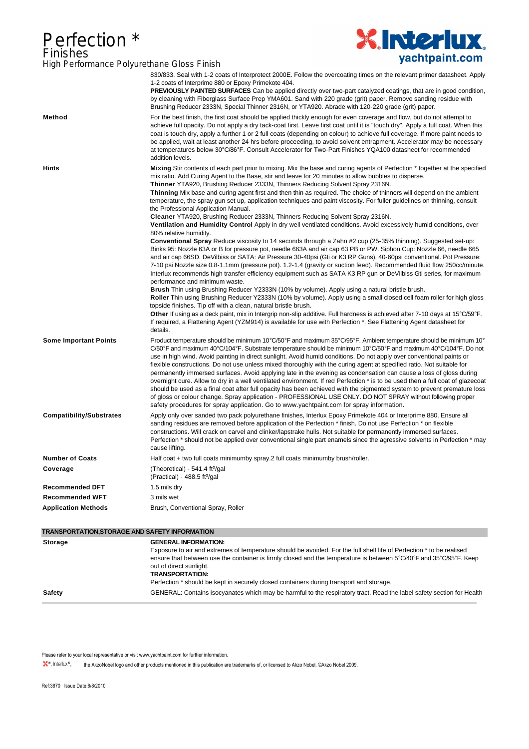# Perfection \* Finishes



| High Performance Polyurethane Gloss Finish |                                                                                                                                                                                                                                                                                                                                                                                                                                                                                                                                                                     | <b>J</b> uontpunnevo                                                                                                                                                                                                                                                                                                                                                                                                                                                                                                                                                                                                                                                                                                                                                                                                                                                                                                                                                                                                                                                                                                                                                                                                                                                                                                                                                                                                                                                                                 |
|--------------------------------------------|---------------------------------------------------------------------------------------------------------------------------------------------------------------------------------------------------------------------------------------------------------------------------------------------------------------------------------------------------------------------------------------------------------------------------------------------------------------------------------------------------------------------------------------------------------------------|------------------------------------------------------------------------------------------------------------------------------------------------------------------------------------------------------------------------------------------------------------------------------------------------------------------------------------------------------------------------------------------------------------------------------------------------------------------------------------------------------------------------------------------------------------------------------------------------------------------------------------------------------------------------------------------------------------------------------------------------------------------------------------------------------------------------------------------------------------------------------------------------------------------------------------------------------------------------------------------------------------------------------------------------------------------------------------------------------------------------------------------------------------------------------------------------------------------------------------------------------------------------------------------------------------------------------------------------------------------------------------------------------------------------------------------------------------------------------------------------------|
|                                            | 1-2 coats of Interprime 880 or Epoxy Primekote 404.<br>Brushing Reducer 2333N, Special Thinner 2316N, or YTA920. Abrade with 120-220 grade (grit) paper.                                                                                                                                                                                                                                                                                                                                                                                                            | 830/833. Seal with 1-2 coats of Interprotect 2000E. Follow the overcoating times on the relevant primer datasheet. Apply<br><b>PREVIOUSLY PAINTED SURFACES</b> Can be applied directly over two-part catalyzed coatings, that are in good condition,<br>by cleaning with Fiberglass Surface Prep YMA601. Sand with 220 grade (grit) paper. Remove sanding residue with                                                                                                                                                                                                                                                                                                                                                                                                                                                                                                                                                                                                                                                                                                                                                                                                                                                                                                                                                                                                                                                                                                                               |
| Method                                     | addition levels.                                                                                                                                                                                                                                                                                                                                                                                                                                                                                                                                                    | For the best finish, the first coat should be applied thickly enough for even coverage and flow, but do not attempt to<br>achieve full opacity. Do not apply a dry tack-coat first. Leave first coat until it is "touch dry". Apply a full coat. When this<br>coat is touch dry, apply a further 1 or 2 full coats (depending on colour) to achieve full coverage. If more paint needs to<br>be applied, wait at least another 24 hrs before proceeding, to avoid solvent entrapment. Accelerator may be necessary<br>at temperatures below 30°C/86°F. Consult Accelerator for Two-Part Finishes YQA100 datasheet for recommended                                                                                                                                                                                                                                                                                                                                                                                                                                                                                                                                                                                                                                                                                                                                                                                                                                                                    |
| <b>Hints</b>                               | mix ratio. Add Curing Agent to the Base, stir and leave for 20 minutes to allow bubbles to disperse.<br>Thinner YTA920, Brushing Reducer 2333N, Thinners Reducing Solvent Spray 2316N.<br>the Professional Application Manual.<br>Cleaner YTA920, Brushing Reducer 2333N, Thinners Reducing Solvent Spray 2316N.<br>80% relative humidity.<br>performance and minimum waste.<br><b>Brush</b> Thin using Brushing Reducer Y2333N (10% by volume). Apply using a natural bristle brush.<br>topside finishes. Tip off with a clean, natural bristle brush.<br>details. | Mixing Stir contents of each part prior to mixing. Mix the base and curing agents of Perfection * together at the specified<br>Thinning Mix base and curing agent first and then thin as required. The choice of thinners will depend on the ambient<br>temperature, the spray gun set up, application techniques and paint viscosity. For fuller guidelines on thinning, consult<br>Ventilation and Humidity Control Apply in dry well ventilated conditions. Avoid excessively humid conditions, over<br>Conventional Spray Reduce viscosity to 14 seconds through a Zahn #2 cup (25-35% thinning). Suggested set-up:<br>Binks 95: Nozzle 63A or B for pressure pot, needle 663A and air cap 63 PB or PW. Siphon Cup: Nozzle 66, needle 665<br>and air cap 66SD. DeVilbiss or SATA: Air Pressure 30-40psi (Gti or K3 RP Guns), 40-60psi conventional. Pot Pressure:<br>7-10 psi Nozzle size 0.8-1.1mm (pressure pot). 1.2-1.4 (gravity or suction feed). Recommended fluid flow 250cc/minute.<br>Interlux recommends high transfer efficiency equipment such as SATA K3 RP gun or DeVilbiss Gti series, for maximum<br>Roller Thin using Brushing Reducer Y2333N (10% by volume). Apply using a small closed cell foam roller for high gloss<br>Other If using as a deck paint, mix in Intergrip non-slip additive. Full hardness is achieved after 7-10 days at 15°C/59°F.<br>If required, a Flattening Agent (YZM914) is available for use with Perfection *. See Flattening Agent datasheet for |
| <b>Some Important Points</b>               | safety procedures for spray application. Go to www.yachtpaint.com for spray information.                                                                                                                                                                                                                                                                                                                                                                                                                                                                            | Product temperature should be minimum 10°C/50°F and maximum 35°C/95°F. Ambient temperature should be minimum 10°<br>$C/50^{\circ}$ F and maximum 40°C/104°F. Substrate temperature should be minimum 10°C/50°F and maximum 40°C/104°F. Do not<br>use in high wind. Avoid painting in direct sunlight. Avoid humid conditions. Do not apply over conventional paints or<br>flexible constructions. Do not use unless mixed thoroughly with the curing agent at specified ratio. Not suitable for<br>permanently immersed surfaces. Avoid applying late in the evening as condensation can cause a loss of gloss during<br>overnight cure. Allow to dry in a well ventilated environment. If red Perfection * is to be used then a full coat of glazecoat<br>should be used as a final coat after full opacity has been achieved with the pigmented system to prevent premature loss<br>of gloss or colour change. Spray application - PROFESSIONAL USE ONLY. DO NOT SPRAY without following proper                                                                                                                                                                                                                                                                                                                                                                                                                                                                                                    |
| <b>Compatibility/Substrates</b>            | cause lifting.                                                                                                                                                                                                                                                                                                                                                                                                                                                                                                                                                      | Apply only over sanded two pack polyurethane finishes, Interlux Epoxy Primekote 404 or Interprime 880. Ensure all<br>sanding residues are removed before application of the Perfection * finish. Do not use Perfection * on flexible<br>constructions. Will crack on carvel and clinker/lapstrake hulls. Not suitable for permanently immersed surfaces.<br>Perfection * should not be applied over conventional single part enamels since the agressive solvents in Perfection * may                                                                                                                                                                                                                                                                                                                                                                                                                                                                                                                                                                                                                                                                                                                                                                                                                                                                                                                                                                                                                |
| <b>Number of Coats</b>                     | Half coat + two full coats minimumby spray.2 full coats minimumby brush/roller.                                                                                                                                                                                                                                                                                                                                                                                                                                                                                     |                                                                                                                                                                                                                                                                                                                                                                                                                                                                                                                                                                                                                                                                                                                                                                                                                                                                                                                                                                                                                                                                                                                                                                                                                                                                                                                                                                                                                                                                                                      |
| Coverage                                   | (Theoretical) - 541.4 ft <sup>2</sup> /gal<br>(Practical) - 488.5 ft <sup>2</sup> /gal                                                                                                                                                                                                                                                                                                                                                                                                                                                                              |                                                                                                                                                                                                                                                                                                                                                                                                                                                                                                                                                                                                                                                                                                                                                                                                                                                                                                                                                                                                                                                                                                                                                                                                                                                                                                                                                                                                                                                                                                      |
| <b>Recommended DFT</b>                     | 1.5 mils dry                                                                                                                                                                                                                                                                                                                                                                                                                                                                                                                                                        |                                                                                                                                                                                                                                                                                                                                                                                                                                                                                                                                                                                                                                                                                                                                                                                                                                                                                                                                                                                                                                                                                                                                                                                                                                                                                                                                                                                                                                                                                                      |
| <b>Recommended WFT</b>                     | 3 mils wet                                                                                                                                                                                                                                                                                                                                                                                                                                                                                                                                                          |                                                                                                                                                                                                                                                                                                                                                                                                                                                                                                                                                                                                                                                                                                                                                                                                                                                                                                                                                                                                                                                                                                                                                                                                                                                                                                                                                                                                                                                                                                      |
| <b>Application Methods</b>                 | Brush, Conventional Spray, Roller                                                                                                                                                                                                                                                                                                                                                                                                                                                                                                                                   |                                                                                                                                                                                                                                                                                                                                                                                                                                                                                                                                                                                                                                                                                                                                                                                                                                                                                                                                                                                                                                                                                                                                                                                                                                                                                                                                                                                                                                                                                                      |
|                                            |                                                                                                                                                                                                                                                                                                                                                                                                                                                                                                                                                                     |                                                                                                                                                                                                                                                                                                                                                                                                                                                                                                                                                                                                                                                                                                                                                                                                                                                                                                                                                                                                                                                                                                                                                                                                                                                                                                                                                                                                                                                                                                      |

### **TRANSPORTATION,STORAGE AND SAFETY INFORMATION**

| <b>Storage</b> | <b>GENERAL INFORMATION:</b><br>Exposure to air and extremes of temperature should be avoided. For the full shelf life of Perfection * to be realised<br>ensure that between use the container is firmly closed and the temperature is between 5°C/40°F and 35°C/95°F. Keep<br>out of direct sunlight.<br><b>TRANSPORTATION:</b><br>Perfection * should be kept in securely closed containers during transport and storage. |
|----------------|----------------------------------------------------------------------------------------------------------------------------------------------------------------------------------------------------------------------------------------------------------------------------------------------------------------------------------------------------------------------------------------------------------------------------|
| Safety         | GENERAL: Contains isocyanates which may be harmful to the respiratory tract. Read the label safety section for Health                                                                                                                                                                                                                                                                                                      |

Please refer to your local representative or visit www.yachtpaint.com for further information.

the AkzoNobel logo and other products mentioned in this publication are trademarks of, or licensed to Akzo Nobel. ©Akzo Nobel 2009.